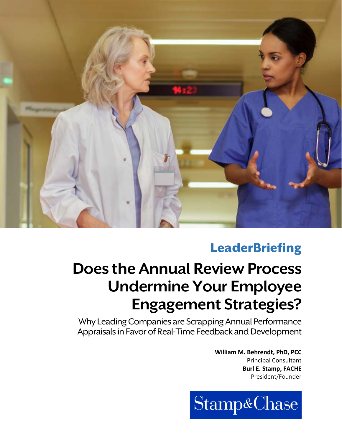

# **LeaderBriefing**

# **Does the Annual Review Process Undermine Your Employee Engagement Strategies?**

Why Leading Companies are Scrapping Annual Performance Appraisals in Favor of Real-Time Feedback and Development

> **William M. Behrendt, PhD, PCC** Principal Consultant **Burl E. Stamp, FACHE** President/Founder

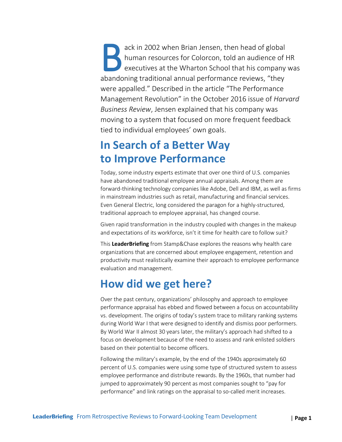ack in 2002 when Brian Jensen, then head of global human resources for Colorcon, told an audience of HR executives at the Wharton School that his company was abandoning traditional annual performance reviews, "they were appalled." Described in the article "The Performance Management Revolution" in the October 2016 issue of *Harvard Business Review*, Jensen explained that his company was moving to a system that focused on more frequent feedback tied to individual employees' own goals. B ac<br>
B hu<br>
abandonin

# **In Search of a Better Way to Improve Performance**

Today, some industry experts estimate that over one third of U.S. companies have abandoned traditional employee annual appraisals. Among them are forward-thinking technology companies like Adobe, Dell and IBM, as well as firms in mainstream industries such as retail, manufacturing and financial services. Even General Electric, long considered the paragon for a highly-structured, traditional approach to employee appraisal, has changed course.

Given rapid transformation in the industry coupled with changes in the makeup and expectations of its workforce, isn't it time for health care to follow suit?

This **LeaderBriefing** from Stamp&Chase explores the reasons why health care organizations that are concerned about employee engagement, retention and productivity must realistically examine their approach to employee performance evaluation and management.

# **How did we get here?**

Over the past century, organizations' philosophy and approach to employee performance appraisal has ebbed and flowed between a focus on accountability vs. development. The origins of today's system trace to military ranking systems during World War I that were designed to identify and dismiss poor performers. By World War II almost 30 years later, the military's approach had shifted to a focus on development because of the need to assess and rank enlisted soldiers based on their potential to become officers.

Following the military's example, by the end of the 1940s approximately 60 percent of U.S. companies were using some type of structured system to assess employee performance and distribute rewards. By the 1960s, that number had jumped to approximately 90 percent as most companies sought to "pay for performance" and link ratings on the appraisal to so-called merit increases.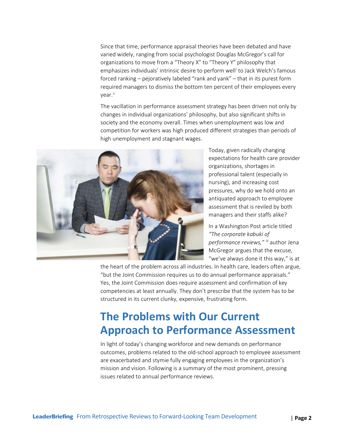Since that time, performance appraisal theories have been debated and have varied widely, ranging from social psychologist Douglas McGregor's call for organizations to move from a "Theory X" to "Theory Y" philosophy that emphas[i](#page-7-0)zes individuals' intrinsic desire to perform well<sup>i</sup> to Jack Welch's famous forced ranking – pejoratively labeled "rank and yank" – that in its purest form required managers to dismiss the bottom ten percent of their employees every vear.<sup>ii</sup>

The vacillation in performance assessment strategy has been driven not only by changes in individual organizations' philosophy, but also significant shifts in society and the economy overall. Times when unemployment was low and competition for workers was high produced different strategies than periods of high unemployment and stagnant wages.



Today, given radically changing expectations for health care provider organizations, shortages in professional talent (especially in nursing), and increasing cost pressures, why do we hold onto an antiquated approach to employee assessment that is reviled by both managers and their staffs alike?

In a Washington Post article titled *"The corporate kabuki of*  performance reviews," [iii](#page-7-2) author Jena McGregor argues that the excuse, "we've always done it this way," is at

the heart of the problem across all industries. In health care, leaders often argue, "but the Joint Commission requires us to do annual performance appraisals." Yes, the Joint Commission does require assessment and confirmation of key competencies at least annually. They don't prescribe that the system has to be structured in its current clunky, expensive, frustrating form.

# **The Problems with Our Current Approach to Performance Assessment**

In light of today's changing workforce and new demands on performance outcomes, problems related to the old-school approach to employee assessment are exacerbated and stymie fully engaging employees in the organization's mission and vision. Following is a summary of the most prominent, pressing issues related to annual performance reviews.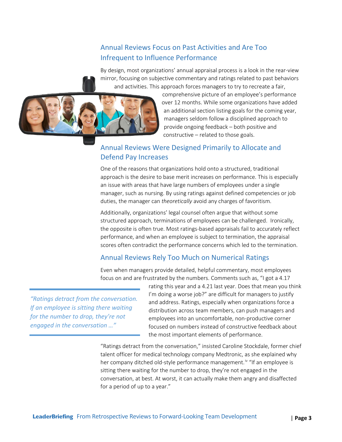### Annual Reviews Focus on Past Activities and Are Too Infrequent to Influence Performance

By design, most organizations' annual appraisal process is a look in the rear-view mirror, focusing on subjective commentary and ratings related to past behaviors and activities. This approach forces managers to try to recreate a fair,



comprehensive picture of an employee's performance over 12 months. While some organizations have added an additional section listing goals for the coming year, managers seldom follow a disciplined approach to provide ongoing feedback – both positive and constructive – related to those goals.

### Annual Reviews Were Designed Primarily to Allocate and Defend Pay Increases

One of the reasons that organizations hold onto a structured, traditional approach is the desire to base merit increases on performance. This is especially an issue with areas that have large numbers of employees under a single manager, such as nursing. By using ratings against defined competencies or job duties, the manager can *theoretically* avoid any charges of favoritism.

Additionally, organizations' legal counsel often argue that without some structured approach, terminations of employees can be challenged. Ironically, the opposite is often true. Most ratings-based appraisals fail to accurately reflect performance, and when an employee is subject to termination, the appraisal scores often contradict the performance concerns which led to the termination.

### Annual Reviews Rely Too Much on Numerical Ratings

Even when managers provide detailed, helpful commentary, most employees focus on and are frustrated by the numbers. Comments such as, "I got a 4.17

*"Ratings detract from the conversation. If an employee is sitting there waiting for the number to drop, they're not engaged in the conversation …"*

rating this year and a 4.21 last year. Does that mean you think I'm doing a worse job?" are difficult for managers to justify and address. Ratings, especially when organizations force a distribution across team members, can push managers and employees into an uncomfortable, non-productive corner focused on numbers instead of constructive feedback about the most important elements of performance.

"Ratings detract from the conversation," insisted Caroline Stockdale, former chief talent officer for medical technology company Medtronic, as she explained why her company ditched old-style performance management.<sup>[iv](#page-7-3)</sup> "If an employee is sitting there waiting for the number to drop, they're not engaged in the conversation, at best. At worst, it can actually make them angry and disaffected for a period of up to a year."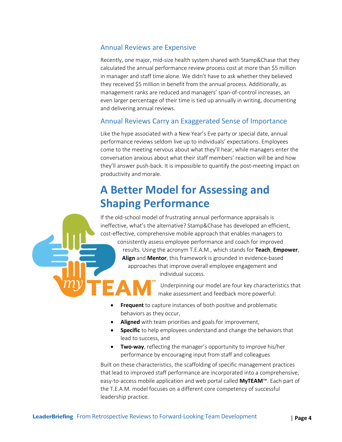### Annual Reviews are Expensive

Recently, one major, mid-size health system shared with Stamp&Chase that they calculated the annual performance review process cost at more than \$5 million in manager and staff time alone. We didn't have to ask whether they believed they received \$5 million in benefit from the annual process. Additionally, as management ranks are reduced and managers' span-of-control increases, an even larger percentage of their time is tied up annually in writing, documenting and delivering annual reviews.

### Annual Reviews Carry an Exaggerated Sense of Importance

Like the hype associated with a New Year's Eve party or special date, annual performance reviews seldom live up to individuals' expectations. Employees come to the meeting nervous about what they'll hear, while managers enter the conversation anxious about what their staff members' reaction will be and how they'll answer push-back. It is impossible to quantify the post-meeting impact on productivity and morale.

# **A Better Model for Assessing and Shaping Performance**

If the old-school model of frustrating annual performance appraisals is ineffective, what's the alternative? Stamp&Chase has developed an efficient, cost-effective, comprehensive mobile approach that enables managers to consistently assess employee performance and coach for improved results. Using the acronym T.E.A.M., which stands for **Teach**, **Empower**, **Align** and **Mentor**, this framework is grounded in evidence-based approaches that improve overall employee engagement and individual success.

> Underpinning our model are four key characteristics that make assessment and feedback more powerful:

- **Frequent** to capture instances of both positive and problematic behaviors as they occur,
- **Aligned** with team priorities and goals for improvement,
- **• Specific** to help employees understand and change the behaviors that lead to success, and
- **Two-way**, reflecting the manager's opportunity to improve his/her performance by encouraging input from staff and colleagues

Built on these characteristics, the scaffolding of specific management practices that lead to improved staff performance are incorporated into a comprehensive, easy-to-access mobile application and web portal called **MyTEAM**™. Each part of the T.E.A.M. model focuses on a different core competency of successful leadership practice.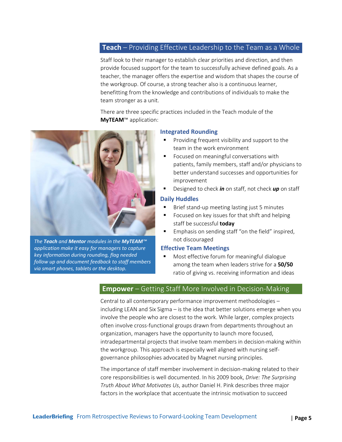### **Teach** – Providing Effective Leadership to the Team as a Whole

Staff look to their manager to establish clear priorities and direction, and then provide focused support for the team to successfully achieve defined goals. As a teacher, the manager offers the expertise and wisdom that shapes the course of the workgroup. Of course, a strong teacher also is a continuous learner, benefitting from the knowledge and contributions of individuals to make the team stronger as a unit.

There are three specific practices included in the Teach module of the **MyTEAM**™ application:



*The Teach and Mentor modules in the MyTEAM™ application make it easy for managers to capture key information during rounding, flag needed follow up and document feedback to staff members via smart phones, tablets or the desktop.*

#### **Integrated Rounding**

- Providing frequent visibility and support to the team in the work environment
- Focused on meaningful conversations with patients, family members, staff and/or physicians to better understand successes and opportunities for improvement
- Designed to check *in* on staff, not check *up* on staff

#### **Daily Huddles**

- Brief stand-up meeting lasting just 5 minutes
- Focused on key issues for that shift and helping staff be successful **today**
- Emphasis on sending staff "on the field" inspired, not discouraged

#### **Effective Team Meetings**

 Most effective forum for meaningful dialogue among the team when leaders strive for a **50/50** ratio of giving vs. receiving information and ideas

#### **Empower** – Getting Staff More Involved in Decision-Making

Central to all contemporary performance improvement methodologies – including LEAN and Six Sigma – is the idea that better solutions emerge when you involve the people who are closest to the work. While larger, complex projects often involve cross-functional groups drawn from departments throughout an organization, managers have the opportunity to launch more focused, intradepartmental projects that involve team members in decision-making within the workgroup. This approach is especially well aligned with nursing selfgovernance philosophies advocated by Magnet nursing principles.

The importance of staff member involvement in decision-making related to their core responsibilities is well documented. In his 2009 book, *Drive: The Surprising Truth About What Motivates Us*, author Daniel H. Pink describes three major factors in the workplace that accentuate the intrinsic motivation to succeed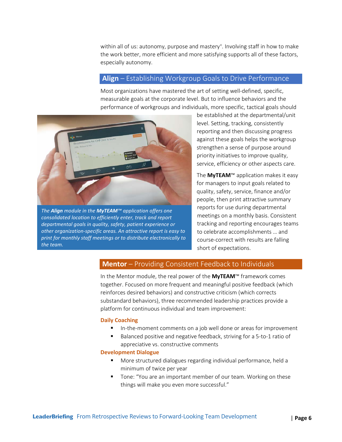within all of us: autonomy, purpose and mastery<sup>[v](#page-7-4)</sup>. Involving staff in how to make the work better, more efficient and more satisfying supports all of these factors, especially autonomy.

#### **Align** – Establishing Workgroup Goals to Drive Performance

Most organizations have mastered the art of setting well-defined, specific, measurable goals at the corporate level. But to influence behaviors and the performance of workgroups and individuals, more specific, tactical goals should



*The Align module in the MyTEAM™ application offers one consolidated location to efficiently enter, track and report departmental goals in quality, safety, patient experience or other organization-specific areas. An attractive report is easy to print for monthly staff meetings or to distribute electronically to the team.*

be established at the departmental/unit level. Setting, tracking, consistently reporting and then discussing progress against these goals helps the workgroup strengthen a sense of purpose around priority initiatives to improve quality, service, efficiency or other aspects care.

The **MyTEAM**™ application makes it easy for managers to input goals related to quality, safety, service, finance and/or people, then print attractive summary reports for use during departmental meetings on a monthly basis. Consistent tracking and reporting encourages teams to celebrate accomplishments … and course-correct with results are falling short of expectations.

### **Mentor** – Providing Consistent Feedback to Individuals

In the Mentor module, the real power of the **MyTEAM**™ framework comes together. Focused on more frequent and meaningful positive feedback (which reinforces desired behaviors) and constructive criticism (which corrects substandard behaviors), three recommended leadership practices provide a platform for continuous individual and team improvement:

#### **Daily Coaching**

- **IFM** In-the-moment comments on a job well done or areas for improvement
- Balanced positive and negative feedback, striving for a 5-to-1 ratio of appreciative vs. constructive comments

#### **Development Dialogue**

- More structured dialogues regarding individual performance, held a minimum of twice per year
- **Tone: "You are an important member of our team. Working on these** things will make you even more successful."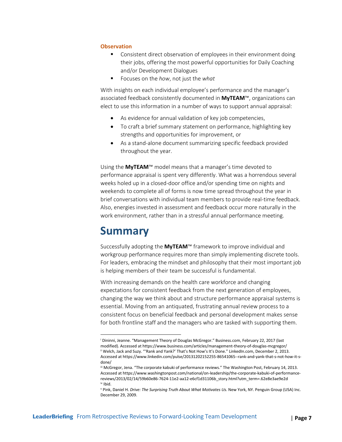#### **Observation**

- **Consistent direct observation of employees in their environment doing** their jobs, offering the most powerful opportunities for Daily Coaching and/or Development Dialogues
- Focuses on the *how*, not just the *what*

With insights on each individual employee's performance and the manager's associated feedback consistently documented in **MyTEAM**™, organizations can elect to use this information in a number of ways to support annual appraisal:

- As evidence for annual validation of key job competencies,
- To craft a brief summary statement on performance, highlighting key strengths and opportunities for improvement, or
- As a stand-alone document summarizing specific feedback provided throughout the year.

Using the **MyTEAM**™ model means that a manager's time devoted to performance appraisal is spent very differently. What was a horrendous several weeks holed up in a closed-door office and/or spending time on nights and weekends to complete all of forms is now time spread throughout the year in brief conversations with individual team members to provide real-time feedback. Also, energies invested in assessment and feedback occur more naturally in the work environment, rather than in a stressful annual performance meeting.

# **Summary**

l

Successfully adopting the **MyTEAM**™ framework to improve individual and workgroup performance requires more than simply implementing discrete tools. For leaders, embracing the mindset and philosophy that their most important job is helping members of their team be successful is fundamental.

With increasing demands on the health care workforce and changing expectations for consistent feedback from the next generation of employees, changing the way we think about and structure performance appraisal systems is essential. Moving from an antiquated, frustrating annual review process to a consistent focus on beneficial feedback and personal development makes sense for both frontline staff and the managers who are tasked with supporting them.

<span id="page-7-1"></span><span id="page-7-0"></span><sup>i</sup> Dininni, Jeanne. "Management Theory of Douglas McGregor." Business.com, February 22, 2017 (last modified). Accessed at https://www.business.com/articles/management-theory-of-douglas-mcgregor/ ii Welch, Jack and Suzy. "'Rank and Yank?' That's Not How's It's Done." LinkedIn.com, December 2, 2013. Accessed at https://www.linkedin.com/pulse/20131202152255-86541065--rank-and-yank-that-s-not-how-it-sdone/

<span id="page-7-2"></span>iii McGregor, Jena. "The corporate kabuki of performance reviews." The Washington Post, February 14, 2013. Accessed at https://www.washingtonpost.com/national/on-leadership/the-corporate-kabuki-of-performancereviews/2013/02/14/59b60e86-7624-11e2-aa12-e6cf1d31106b\_story.html?utm\_term=.62e8e3ae9e2d iv Ibid.

<span id="page-7-4"></span><span id="page-7-3"></span><sup>v</sup> Pink, Daniel H. *Drive: The Surprising Truth About What Motivates Us.* New York, NY. Penguin Group (USA) Inc. December 29, 2009.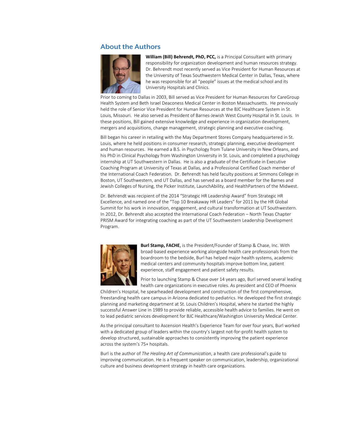#### **About the Authors**



**William (Bill) Behrendt, PhD, PCC,** is a Principal Consultant with primary responsibility for organization development and human resources strategy. Dr. Behrendt most recently served as Vice President for Human Resources at the University of Texas Southwestern Medical Center in Dallas, Texas, where he was responsible for all "people" issues at the medical school and its University Hospitals and Clinics.

Prior to coming to Dallas in 2003, Bill served as Vice President for Human Resources for CareGroup Health System and Beth Israel Deaconess Medical Center in Boston Massachusetts. He previously held the role of Senior Vice President for Human Resources at the BJC Healthcare System in St. Louis, Missouri. He also served as President of Barnes-Jewish West County Hospital in St. Louis. In these positions, Bill gained extensive knowledge and experience in organization development, mergers and acquisitions, change management, strategic planning and executive coaching.

Bill began his career in retailing with the May Department Stores Company headquartered in St. Louis, where he held positions in consumer research, strategic planning, executive development and human resources. He earned a B.S. in Psychology from Tulane University in New Orleans, and his PhD in Clinical Psychology from Washington University in St. Louis, and completed a psychology internship at UT Southwestern in Dallas. He is also a graduate of the Certificate in Executive Coaching Program at University of Texas at Dallas, and a Professional Certified Coach member of the International Coach Federation. Dr. Behrendt has held faculty positions at Simmons College in Boston, UT Southwestern, and UT Dallas, and has served as a board member for the Barnes and Jewish Colleges of Nursing, the Picker Institute, LaunchAbility, and HealthPartners of the Midwest.

Dr. Behrendt was recipient of the 2014 "Strategic HR Leadership Award" from Strategic HR Excellence, and named one of the "Top 10 Breakaway HR Leaders" for 2011 by the HR Global Summit for his work in innovation, engagement, and cultural transformation at UT Southwestern. In 2012, Dr. Behrendt also accepted the International Coach Federation – North Texas Chapter PRISM Award for integrating coaching as part of the UT Southwestern Leadership Development Program.



**Burl Stamp, FACHE**, is the President/Founder of Stamp & Chase, Inc. With broad-based experience working alongside health care professionals from the boardroom to the bedside, Burl has helped major health systems, academic medical centers and community hospitals improve bottom line, patient experience, staff engagement and patient safety results.

Prior to launching Stamp & Chase over 14 years ago, Burl served several leading health care organizations in executive roles. As president and CEO of Phoenix

Children's Hospital, he spearheaded development and construction of the first comprehensive, freestanding health care campus in Arizona dedicated to pediatrics. He developed the first strategic planning and marketing department at St. Louis Children's Hospital, where he started the highly successful Answer Line in 1989 to provide reliable, accessible health advice to families. He went on to lead pediatric services development for BJC Healthcare/Washington University Medical Center.

As the principal consultant to Ascension Health's Experience Team for over four years, Burl worked with a dedicated group of leaders within the country's largest not-for-profit health system to develop structured, sustainable approaches to consistently improving the patient experience across the system's 75+ hospitals.

Burl is the author of *The Healing Art of Communication*, a health care professional's guide to improving communication. He is a frequent speaker on communication, leadership, organizational culture and business development strategy in health care organizations.